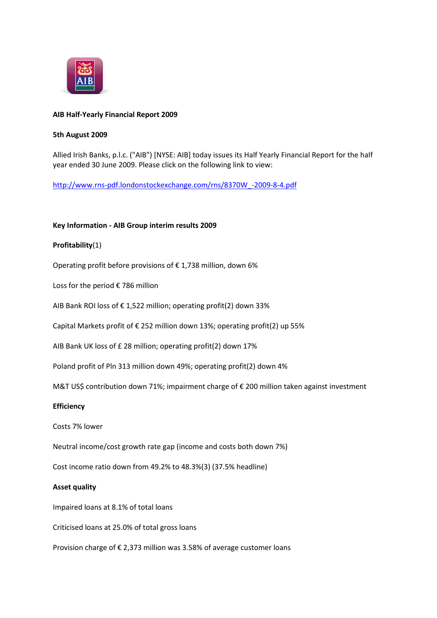

## **AIB Half-Yearly Financial Report 2009**

#### **5th August 2009**

Allied Irish Banks, p.l.c. ("AIB") [NYSE: AIB] today issues its Half Yearly Financial Report for the half year ended 30 June 2009. Please click on the following link to view:

[http://www.rns-pdf.londonstockexchange.com/rns/8370W\\_-2009-8-4.pdf](http://www.rns-pdf.londonstockexchange.com/rns/8370W_-2009-8-4.pdf)

## **Key Information - AIB Group interim results 2009**

## **Profitability**(1)

Operating profit before provisions of € 1,738 million, down 6%

Loss for the period € 786 million

AIB Bank ROI loss of € 1,522 million; operating profit(2) down 33%

Capital Markets profit of € 252 million down 13%; operating profit(2) up 55%

AIB Bank UK loss of £ 28 million; operating profit(2) down 17%

Poland profit of Pln 313 million down 49%; operating profit(2) down 4%

M&T US\$ contribution down 71%; impairment charge of € 200 million taken against investment

## **Efficiency**

Costs 7% lower

Neutral income/cost growth rate gap (income and costs both down 7%)

Cost income ratio down from 49.2% to 48.3%(3) (37.5% headline)

## **Asset quality**

Impaired loans at 8.1% of total loans

Criticised loans at 25.0% of total gross loans

Provision charge of € 2,373 million was 3.58% of average customer loans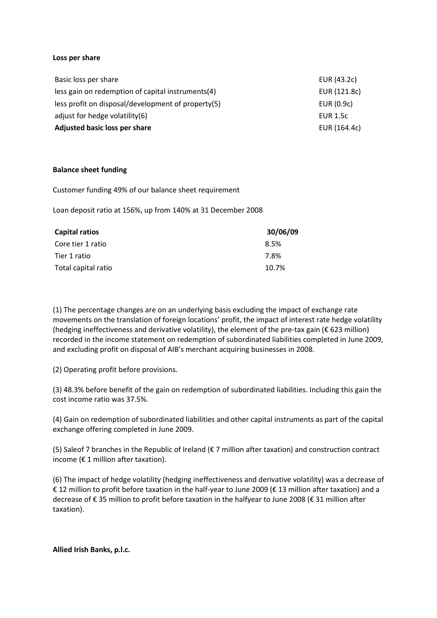#### **Loss per share**

| Adjusted basic loss per share                      | EUR (164.4c)    |
|----------------------------------------------------|-----------------|
| adjust for hedge volatility(6)                     | <b>EUR 1.5c</b> |
| less profit on disposal/development of property(5) | EUR (0.9c)      |
| less gain on redemption of capital instruments(4)  | EUR (121.8c)    |
| Basic loss per share                               | EUR (43.2c)     |

#### **Balance sheet funding**

Customer funding 49% of our balance sheet requirement

Loan deposit ratio at 156%, up from 140% at 31 December 2008

| Capital ratios      | 30/06/09 |
|---------------------|----------|
| Core tier 1 ratio   | 8.5%     |
| Tier 1 ratio        | 7.8%     |
| Total capital ratio | 10.7%    |

(1) The percentage changes are on an underlying basis excluding the impact of exchange rate movements on the translation of foreign locations' profit, the impact of interest rate hedge volatility (hedging ineffectiveness and derivative volatility), the element of the pre-tax gain (€ 623 million) recorded in the income statement on redemption of subordinated liabilities completed in June 2009, and excluding profit on disposal of AIB's merchant acquiring businesses in 2008.

(2) Operating profit before provisions.

(3) 48.3% before benefit of the gain on redemption of subordinated liabilities. Including this gain the cost income ratio was 37.5%.

(4) Gain on redemption of subordinated liabilities and other capital instruments as part of the capital exchange offering completed in June 2009.

(5) Saleof 7 branches in the Republic of Ireland ( $\epsilon$  7 million after taxation) and construction contract income ( $\epsilon$  1 million after taxation).

(6) The impact of hedge volatility (hedging ineffectiveness and derivative volatility) was a decrease of € 12 million to profit before taxation in the half-year to June 2009 (€ 13 million after taxation) and a decrease of € 35 million to profit before taxation in the halfyear to June 2008 (€ 31 million after taxation).

**Allied Irish Banks, p.l.c.**